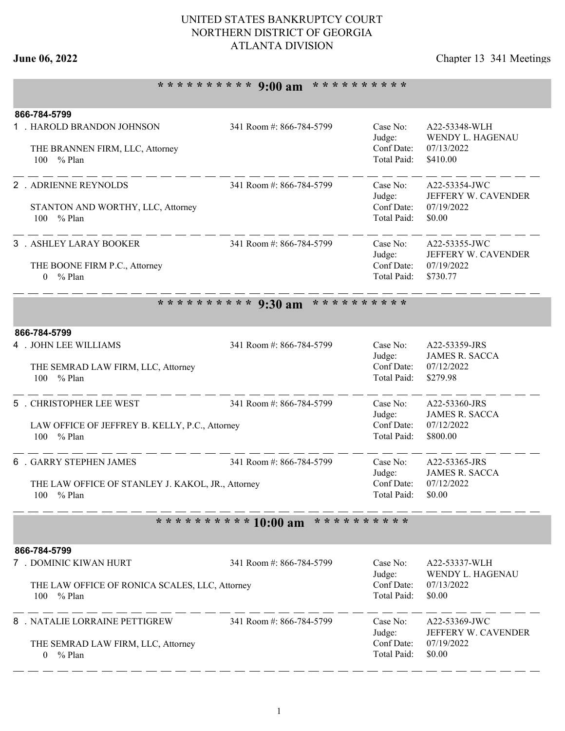### UNITED STATES BANKRUPTCY COURT NORTHERN DISTRICT OF GEORGIA ATLANTA DIVISION

# **June 06, 2022** Chapter 13 341 Meetings

# **\* \* \* \* \* \* \* \* \* \* 9:00 am \* \* \* \* \* \* \* \* \* \***

| 866-784-5799                                      |                                           |                           |                                        |
|---------------------------------------------------|-------------------------------------------|---------------------------|----------------------------------------|
| 1 . HAROLD BRANDON JOHNSON                        | 341 Room #: 866-784-5799                  | Case No:                  | A22-53348-WLH                          |
|                                                   |                                           | Judge:<br>Conf Date:      | WENDY L. HAGENAU<br>07/13/2022         |
| THE BRANNEN FIRM, LLC, Attorney<br>100<br>% Plan  |                                           | Total Paid:               | \$410.00                               |
|                                                   |                                           |                           |                                        |
| 2 . ADRIENNE REYNOLDS                             | 341 Room #: 866-784-5799                  | Case No:                  | A22-53354-JWC                          |
|                                                   |                                           | Judge:                    | JEFFERY W. CAVENDER                    |
| STANTON AND WORTHY, LLC, Attorney<br>100 % Plan   |                                           | Conf Date:<br>Total Paid: | 07/19/2022<br>\$0.00                   |
|                                                   |                                           |                           |                                        |
| 3 . ASHLEY LARAY BOOKER                           | 341 Room #: 866-784-5799                  | Case No:                  | A22-53355-JWC                          |
|                                                   |                                           | Judge:                    | JEFFERY W. CAVENDER                    |
| THE BOONE FIRM P.C., Attorney                     |                                           | Conf Date:                | 07/19/2022                             |
| % Plan<br>$\Omega$                                |                                           | Total Paid:               | \$730.77                               |
|                                                   | * * * * * * * * * *<br>********** 9:30 am |                           |                                        |
|                                                   |                                           |                           |                                        |
| 866-784-5799                                      |                                           |                           |                                        |
| 4 . JOHN LEE WILLIAMS                             | 341 Room #: 866-784-5799                  | Case No:                  | A22-53359-JRS                          |
|                                                   |                                           | Judge:                    | <b>JAMES R. SACCA</b>                  |
| THE SEMRAD LAW FIRM, LLC, Attorney                |                                           | Conf Date:                | 07/12/2022                             |
| 100 % Plan                                        |                                           | Total Paid:               | \$279.98                               |
| 5 . CHRISTOPHER LEE WEST                          | 341 Room #: 866-784-5799                  | Case No:                  | A22-53360-JRS                          |
|                                                   |                                           | Judge:                    | <b>JAMES R. SACCA</b>                  |
| LAW OFFICE OF JEFFREY B. KELLY, P.C., Attorney    | Conf Date:                                | 07/12/2022                |                                        |
| % Plan<br>100                                     |                                           | Total Paid:               | \$800.00                               |
| <b>6 . GARRY STEPHEN JAMES</b>                    | 341 Room #: 866-784-5799                  | Case No:                  |                                        |
|                                                   |                                           | Judge:                    | A22-53365-JRS<br><b>JAMES R. SACCA</b> |
| THE LAW OFFICE OF STANLEY J. KAKOL, JR., Attorney |                                           | Conf Date:                | 07/12/2022                             |
| 100 % Plan                                        |                                           | Total Paid:               | \$0.00                                 |
|                                                   |                                           |                           |                                        |
|                                                   | ********** 10:00 am                       | * * * * * * * * * *       |                                        |
| 866-784-5799                                      |                                           |                           |                                        |
| 7 . DOMINIC KIWAN HURT                            | 341 Room #: 866-784-5799                  | Case No:                  | A22-53337-WLH                          |
|                                                   |                                           | Judge:                    | WENDY L. HAGENAU                       |
| THE LAW OFFICE OF RONICA SCALES, LLC, Attorney    |                                           | Conf Date:<br>Total Paid: | 07/13/2022<br>\$0.00                   |
| % Plan<br>100                                     |                                           |                           |                                        |
| 8 . NATALIE LORRAINE PETTIGREW                    | 341 Room #: 866-784-5799                  | Case No:                  | A22-53369-JWC                          |
|                                                   |                                           | Judge:                    | JEFFERY W. CAVENDER                    |
| THE SEMRAD LAW FIRM, LLC, Attorney                |                                           | Conf Date:                | 07/19/2022                             |
| $0 \frac{9}{6}$ Plan                              |                                           | Total Paid:               | \$0.00                                 |
|                                                   |                                           |                           |                                        |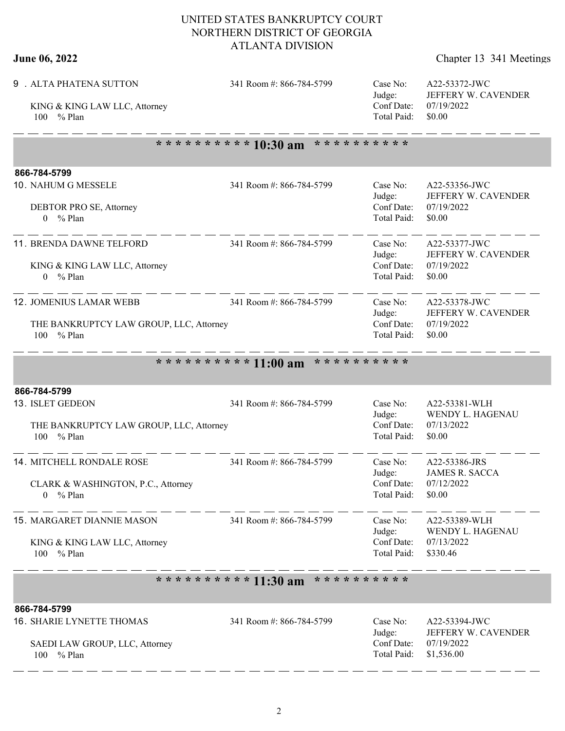### UNITED STATES BANKRUPTCY COURT NORTHERN DISTRICT OF GEORGIA ATLANTA DIVISION

# **June 06, 2022** Chapter 13 341 Meetings

| 9 . ALTA PHATENA SUTTON<br>KING & KING LAW LLC, Attorney<br>$%$ Plan<br>100                         | 341 Room #: 866-784-5799 | Case No:<br>Judge:<br>Conf Date:<br>Total Paid: | A22-53372-JWC<br>JEFFERY W. CAVENDER<br>07/19/2022<br>\$0.00     |
|-----------------------------------------------------------------------------------------------------|--------------------------|-------------------------------------------------|------------------------------------------------------------------|
|                                                                                                     | ********** 10:30 am      | * * * * * * * * * *                             |                                                                  |
| 866-784-5799                                                                                        |                          |                                                 |                                                                  |
| 10. NAHUM G MESSELE<br>DEBTOR PRO SE, Attorney<br>$0 \frac{9}{6}$ Plan                              | 341 Room #: 866-784-5799 | Case No:<br>Judge:<br>Conf Date:<br>Total Paid: | A22-53356-JWC<br>JEFFERY W. CAVENDER<br>07/19/2022<br>\$0.00     |
| 11. BRENDA DAWNE TELFORD<br>KING & KING LAW LLC, Attorney<br>$0 \frac{9}{6}$ Plan                   | 341 Room #: 866-784-5799 | Case No:<br>Judge:<br>Conf Date:<br>Total Paid: | A22-53377-JWC<br>JEFFERY W. CAVENDER<br>07/19/2022<br>\$0.00     |
| <b>12. JOMENIUS LAMAR WEBB</b><br>THE BANKRUPTCY LAW GROUP, LLC, Attorney<br>100 % Plan             | 341 Room #: 866-784-5799 | Case No:<br>Judge:<br>Conf Date:<br>Total Paid: | A22-53378-JWC<br>JEFFERY W. CAVENDER<br>07/19/2022<br>\$0.00     |
|                                                                                                     | ********** 11:00 am      | * * * * * * * * * *                             |                                                                  |
| 866-784-5799<br>13. ISLET GEDEON<br>THE BANKRUPTCY LAW GROUP, LLC, Attorney<br>100 % Plan           | 341 Room #: 866-784-5799 | Case No:<br>Judge:<br>Conf Date:<br>Total Paid: | A22-53381-WLH<br>WENDY L. HAGENAU<br>07/13/2022<br>\$0.00        |
| <b>14. MITCHELL RONDALE ROSE</b><br>CLARK & WASHINGTON, P.C., Attorney<br>% Plan<br>$\theta$        | 341 Room #: 866-784-5799 | Case No:<br>Judge:<br>Conf Date:<br>Total Paid: | A22-53386-JRS<br><b>JAMES R. SACCA</b><br>07/12/2022<br>\$0.00   |
| 15. MARGARET DIANNIE MASON<br>KING & KING LAW LLC, Attorney<br>100 % Plan                           | 341 Room #: 866-784-5799 | Case No:<br>Judge:<br>Conf Date:<br>Total Paid: | A22-53389-WLH<br>WENDY L. HAGENAU<br>07/13/2022<br>\$330.46      |
|                                                                                                     | ********** 11:30 am      | * * * * * * * * * *                             |                                                                  |
| 866-784-5799<br><b>16. SHARIE LYNETTE THOMAS</b><br>SAEDI LAW GROUP, LLC, Attorney<br>100<br>% Plan | 341 Room #: 866-784-5799 | Case No:<br>Judge:<br>Conf Date:<br>Total Paid: | A22-53394-JWC<br>JEFFERY W. CAVENDER<br>07/19/2022<br>\$1,536.00 |